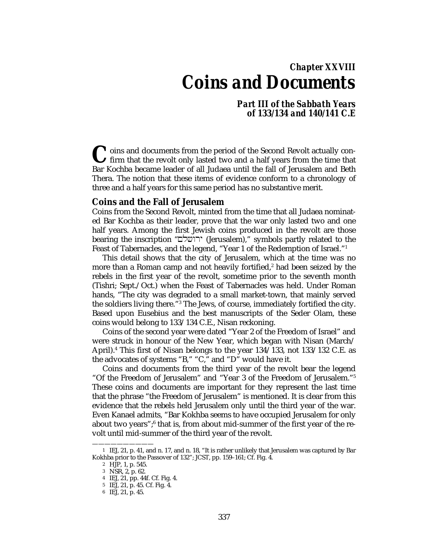# *Chapter XXVIII Coins and Documents*

*Part III of the Sabbath Years of 133/134 and 140/141 C.E*

<sup>t</sup> oins and documents from the period of the Second Revolt actually con-If firm that the revolt only lasted two and a half years from the time that Coins and documents from the period of the Second Revolt actually confirm that the revolt only lasted two and a half years from the time that Bar Kochba became leader of all Judaea until the fall of Jerusalem and Beth Thera. The notion that these items of evidence conform to a chronology of three and a half years for this same period has no substantive merit.

#### **Coins and the Fall of Jerusalem**

Coins from the Second Revolt, minted from the time that all Judaea nominated Bar Kochba as their leader, prove that the war only lasted two and one half years. Among the first Jewish coins produced in the revolt are those bearing the inscription "µlçwry (Jerusalem)," symbols partly related to the Feast of Tabernacles, and the legend, "Year 1 of the Redemption of Israel."1

This detail shows that the city of Jerusalem, which at the time was no more than a Roman camp and not heavily fortified,<sup>2</sup> had been seized by the rebels in the first year of the revolt, sometime prior to the seventh month (Tishri; Sept./Oct.) when the Feast of Tabernacles was held. Under Roman hands, "The city was degraded to a small market-town, that mainly served the soldiers living there."3 The Jews, of course, immediately fortified the city. Based upon Eusebius and the best manuscripts of the Seder Olam, these coins would belong to 133/134 C.E., Nisan reckoning.

Coins of the second year were dated "Year 2 of the Freedom of Israel" and were struck in honour of the New Year, which began with Nisan (March/ April).4 This first of Nisan belongs to the year 134/133, not 133/132 C.E. as the advocates of systems "B," "C," and "D" would have it.

Coins and documents from the third year of the revolt bear the legend "Of the Freedom of Jerusalem" and "Year 3 of the Freedom of Jerusalem."5 These coins and documents are important for they represent the last time that the phrase "the Freedom of Jerusalem" is mentioned. It is clear from this evidence that the rebels held Jerusalem only until the third year of the war. Even Kanael admits, "Bar Kokhba seems to have occupied Jerusalem for only about two years";<sup>6</sup> that is, from about mid-summer of the first year of the revolt until mid-summer of the third year of the revolt.

<sup>1</sup> IEJ, 21, p. 41, and n. 17, and n. 18, "It is rather unlikely that Jerusalem was captured by Bar Kokhba prior to the Passover of 132"; JCST, pp. 159–161; Cf. Fig. 4.

<sup>2</sup> HJP, 1, p. 545.

<sup>3</sup> NSR, 2, p. 62.

<sup>4</sup> IEJ, 21, pp. 44f. Cf. Fig. 4.

<sup>5</sup> IEJ, 21, p. 45. Cf. Fig. 4.

<sup>6</sup> IEJ, 21, p. 45.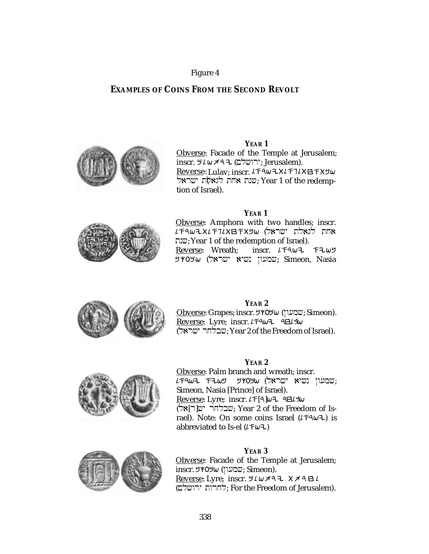### Figure 4

### **EXAMPLES OF COINS FROM THE SECOND REVOLT**



**YEAR 1** Obverse: Facade of the Temple at Jerusalem;

inscr. שלם; Jerusalem). <u>Reverse</u>: Lulav; inscr. *に*F9wユX*に*F7*L*X日FXりw שות האליך לגאלת ישראל.<br>שנת אחת לגאלת שראל ( year 1 of the redemption of Israel).

#### **YEAR 1**



Obverse: Amphora with two handles; inscr.  $L$ ראלת ישראל) שראלו שראלו העצדודוג לגאלת שנת; Year 1 of the redemption of Israel).<br>Reverse: Wreath; inscr.  $L \uparrow 9\omega$  $inscr.$   $LT4w7$   $T2w7$ שמעון נשיא ישראל) שראט (שראכ; Simeon, Nasia



#### **YEAR 2**

 $Obverse$ : Grapes; inscr. שמעון) (השמעון: Simeon). Reverse: Lyre; inscr.  $L$ F9 $\omega$ 7 9 $H$ (larçy rjlbç; Year 2 of the Freedom of Israel).



#### **YEAR 2**

Obverse: Palm branch and wreath; inscr.  $L$ עמעון נשיא ישראל) שרטש (שראל): Simeon, Nasia [Prince] of Israel). Reverse: Lyre; inscr.  $L \uparrow [4] \omega$  4 4  $4 \omega$ (שבלחר ישור Year 2 of the Freedom of Israel). Note: On some coins Israel  $(LFAwL)$  is abbreviated to Is-el  $(L \pm \omega + 1)$ 



Obverse: Facade of the Temple at Jerusalem; inscr. שמעון) שמעון: Simeon). Reverse: Lyre; inscr.  $H L \omega A 977 K A B L$ (הרות ירושלם; For the Freedom of Jerusalem).

**YEAR 3**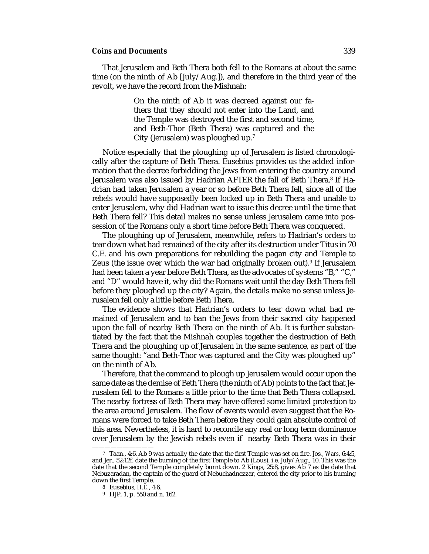That Jerusalem and Beth Thera both fell to the Romans at about the same time (on the ninth of Ab [July/Aug.]), and therefore in the third year of the revolt, we have the record from the Mishnah:

> On the ninth of Ab it was decreed against our fathers that they should not enter into the Land, and the Temple was destroyed the first and second time, and Beth-Thor (Beth Thera) was captured and the City (Jerusalem) was ploughed up.7

Notice especially that the ploughing up of Jerusalem is listed chronologically after the capture of Beth Thera. Eusebius provides us the added information that the decree forbidding the Jews from entering the country around Jerusalem was also issued by Hadrian AFTER the fall of Beth Thera.<sup>8</sup> If Hadrian had taken Jerusalem a year or so before Beth Thera fell, since all of the rebels would have supposedly been locked up in Beth Thera and unable to enter Jerusalem, why did Hadrian wait to issue this decree until the time that Beth Thera fell? This detail makes no sense unless Jerusalem came into possession of the Romans only a short time before Beth Thera was conquered.

The ploughing up of Jerusalem, meanwhile, refers to Hadrian's orders to tear down what had remained of the city after its destruction under Titus in 70 C.E. and his own preparations for rebuilding the pagan city and Temple to Zeus (the issue over which the war had originally broken out).9 If Jerusalem had been taken a year before Beth Thera, as the advocates of systems "B," "C," and "D" would have it, why did the Romans wait until the day Beth Thera fell before they ploughed up the city? Again, the details make no sense unless Jerusalem fell only a little before Beth Thera.

The evidence shows that Hadrian's orders to tear down what had remained of Jerusalem and to ban the Jews from their sacred city happened upon the fall of nearby Beth Thera on the ninth of Ab. It is further substantiated by the fact that the Mishnah couples together the destruction of Beth Thera and the ploughing up of Jerusalem in the same sentence, as part of the same thought: "and Beth-Thor was captured and the City was ploughed up" on the ninth of Ab.

Therefore, that the command to plough up Jerusalem would occur upon the same date as the demise of Beth Thera (the ninth of Ab) points to the fact that Jerusalem fell to the Romans a little prior to the time that Beth Thera collapsed. The nearby fortress of Beth Thera may have offered some limited protection to the area around Jerusalem. The flow of events would even suggest that the Romans were forced to take Beth Thera before they could gain absolute control of this area. Nevertheless, it is hard to reconcile any real or long term dominance over Jerusalem by the Jewish rebels even if nearby Beth Thera was in their

<sup>7</sup> Taan., 4:6. Ab 9 was actually the date that the first Temple was set on fire. Jos*.*, *Wars*, 6:4:5, and Jer., 52:12f, date the burning of the first Temple to Ab (Lous), i.e. July/Aug., 10. This was the date that the second Temple completely burnt down. 2 Kings, 25:8, gives Ab 7 as the date that Nebuzaradan, the captain of the guard of Nebuchadnezzar, entered the city prior to his burning down the first Temple.

<sup>8</sup> Eusebius, *H.E.*, 4:6.

<sup>9</sup> HJP, 1, p. 550 and n. 162.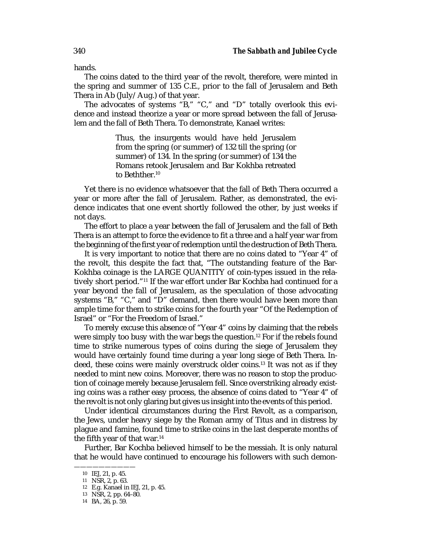hands.

The coins dated to the third year of the revolt, therefore, were minted in the spring and summer of 135 C.E., prior to the fall of Jerusalem and Beth Thera in Ab (July/Aug.) of that year.

The advocates of systems "B," "C," and "D" totally overlook this evidence and instead theorize a year or more spread between the fall of Jerusalem and the fall of Beth Thera. To demonstrate, Kanael writes:

> Thus, the insurgents would have held Jerusalem from the spring (or summer) of 132 till the spring (or summer) of 134. In the spring (or summer) of 134 the Romans retook Jerusalem and Bar Kokhba retreated to Bethther.10

Yet there is no evidence whatsoever that the fall of Beth Thera occurred a year or more after the fall of Jerusalem. Rather, as demonstrated, the evidence indicates that one event shortly followed the other, by just weeks if not days.

The effort to place a year between the fall of Jerusalem and the fall of Beth Thera is an attempt to force the evidence to fit a three and a half year war from the beginning of the first year of redemption until the destruction of Beth Thera.

It is very important to notice that there are no coins dated to "Year 4" of the revolt, this despite the fact that, "The outstanding feature of the Bar-Kokhba coinage is the LARGE QUANTITY of coin-types issued in the relatively short period."11 If the war effort under Bar Kochba had continued for a year beyond the fall of Jerusalem, as the speculation of those advocating systems "B," "C," and "D" demand, then there would have been more than ample time for them to strike coins for the fourth year "Of the Redemption of Israel" or "For the Freedom of Israel."

To merely excuse this absence of "Year 4" coins by claiming that the rebels were simply too busy with the war begs the question.12 For if the rebels found time to strike numerous types of coins during the siege of Jerusalem they would have certainly found time during a year long siege of Beth Thera. Indeed, these coins were mainly overstruck older coins.13 It was not as if they needed to mint new coins. Moreover, there was no reason to stop the production of coinage merely because Jerusalem fell. Since overstriking already existing coins was a rather easy process, the absence of coins dated to "Year 4" of the revolt is not only glaring but gives us insight into the events of this period.

Under identical circumstances during the First Revolt, as a comparison, the Jews, under heavy siege by the Roman army of Titus and in distress by plague and famine, found time to strike coins in the last desperate months of the fifth year of that war.<sup>14</sup>

Further, Bar Kochba believed himself to be the messiah. It is only natural that he would have continued to encourage his followers with such demon-

<sup>——————————</sup> 10 IEJ, 21, p. 45.

<sup>11</sup> NSR, 2, p. 63.

<sup>12</sup> E.g. Kanael in IEJ, 21, p. 45.

<sup>13</sup> NSR, 2, pp. 64–80.

<sup>14</sup> BA, 26, p. 59.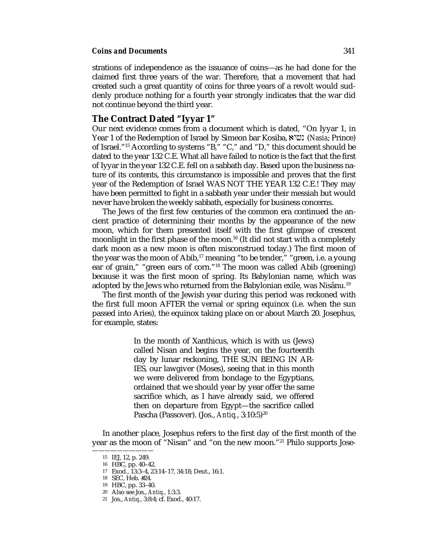strations of independence as the issuance of coins—as he had done for the claimed first three years of the war. Therefore, that a movement that had created such a great quantity of coins for three years of a revolt would suddenly produce nothing for a fourth year strongly indicates that the war did not continue beyond the third year.

#### **The Contract Dated "Iyyar 1"**

Our next evidence comes from a document which is dated, "On Iyyar 1, in Year 1 of the Redemption of Israel by Simeon bar Kosiba, **(***Nasia*; Prince) of Israel."15 According to systems "B," "C," and "D," this document should be dated to the year 132 C.E. What all have failed to notice is the fact that the first of Iyyar in the year 132 C.E. fell on a sabbath day. Based upon the business nature of its contents, this circumstance is impossible and proves that the first year of the Redemption of Israel WAS NOT THE YEAR 132 C.E.! They may have been permitted to fight in a sabbath year under their messiah but would never have broken the weekly sabbath, especially for business concerns.

The Jews of the first few centuries of the common era continued the ancient practice of determining their months by the appearance of the new moon, which for them presented itself with the first glimpse of crescent moonlight in the first phase of the moon.16 (It did not start with a completely dark moon as a new moon is often misconstrued today.) The first moon of the year was the moon of Abib,<sup>17</sup> meaning "to be tender," "green, i.e. a young ear of grain," "green ears of corn."18 The moon was called Abib (greening) because it was the first moon of spring. Its Babylonian name, which was adopted by the Jews who returned from the Babylonian exile, was Nisânu.19

The first month of the Jewish year during this period was reckoned with the first full moon AFTER the vernal or spring equinox (i.e. when the sun passed into Aries), the equinox taking place on or about March 20. Josephus, for example, states:

> In the month of Xanthicus, which is with us (Jews) called Nisan and begins the year, on the fourteenth day by lunar reckoning, THE SUN BEING IN AR-IES, our lawgiver (Moses), seeing that in this month we were delivered from bondage to the Egyptians, ordained that we should year by year offer the same sacrifice which, as I have already said, we offered then on departure from Egypt—the sacrifice called Pascha (Passover). (Jos., *Antiq.*, 3:10:5)<sup>20</sup>

In another place, Josephus refers to the first day of the first month of the year as the moon of "Nisan" and "on the new moon."21 Philo supports Jose-

<sup>——————————</sup> 15 IEJ, 12, p. 249.

<sup>16</sup> HBC, pp. 40–42.

<sup>17</sup> Exod., 13:3–4, 23:14–17, 34:18; Deut., 16:1.

<sup>18</sup> SEC, Heb. #24.

<sup>19</sup> HBC, pp. 33–40.

<sup>20</sup> Also see Jos., *Antiq.*, 1:3:3.

<sup>21</sup> Jos., *Antiq.*, 3:8:4; cf. Exod., 40:17.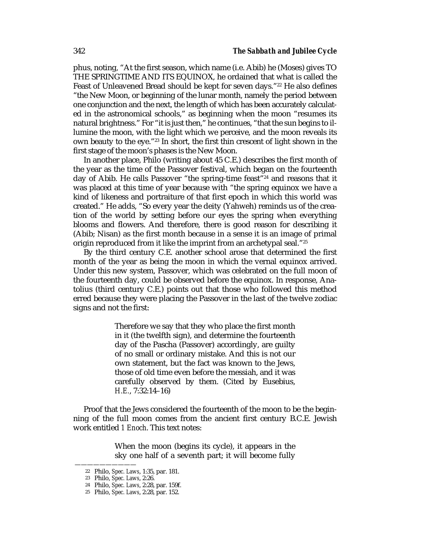phus, noting, "At the first season, which name (i.e. Abib) he (Moses) gives TO THE SPRINGTIME AND ITS EQUINOX, he ordained that what is called the Feast of Unleavened Bread should be kept for seven days."<sup>22</sup> He also defines "the New Moon, or beginning of the lunar month, namely the period between one conjunction and the next, the length of which has been accurately calculated in the astronomical schools," as beginning when the moon "resumes its natural brightness." For "it is just then," he continues, "that the sun begins to illumine the moon, with the light which we perceive, and the moon reveals its own beauty to the eye."23 In short, the first thin crescent of light shown in the first stage of the moon's phases is the New Moon.

In another place, Philo (writing about 45 C.E.) describes the first month of the year as the time of the Passover festival, which began on the fourteenth day of Abib. He calls Passover "the spring-time feast"24 and reasons that it was placed at this time of year because with "the spring equinox we have a kind of likeness and portraiture of that first epoch in which this world was created." He adds, "So every year the deity (Yahweh) reminds us of the creation of the world by setting before our eyes the spring when everything blooms and flowers. And therefore, there is good reason for describing it (Abib; Nisan) as the first month because in a sense it is an image of primal origin reproduced from it like the imprint from an archetypal seal."25

By the third century C.E. another school arose that determined the first month of the year as being the moon in which the vernal equinox arrived. Under this new system, Passover, which was celebrated on the full moon of the fourteenth day, could be observed before the equinox. In response, Anatolius (third century C.E.) points out that those who followed this method erred because they were placing the Passover in the last of the twelve zodiac signs and not the first:

> Therefore we say that they who place the first month in it (the twelfth sign), and determine the fourteenth day of the Pascha (Passover) accordingly, are guilty of no small or ordinary mistake. And this is not our own statement, but the fact was known to the Jews, those of old time even before the messiah, and it was carefully observed by them. (Cited by Eusebius, *H.E.*, 7:32:14–16)

Proof that the Jews considered the fourteenth of the moon to be the beginning of the full moon comes from the ancient first century B.C.E. Jewish work entitled *1 Enoch*. This text notes:

> When the moon (begins its cycle), it appears in the sky one half of a seventh part; it will become fully

<sup>22</sup> Philo, *Spec. Laws*, 1:35, par. 181.

<sup>23</sup> Philo, *Spec. Laws*, 2:26.

<sup>24</sup> Philo, *Spec. Laws*, 2:28, par. 159f.

<sup>25</sup> Philo, *Spec. Laws*, 2:28, par. 152.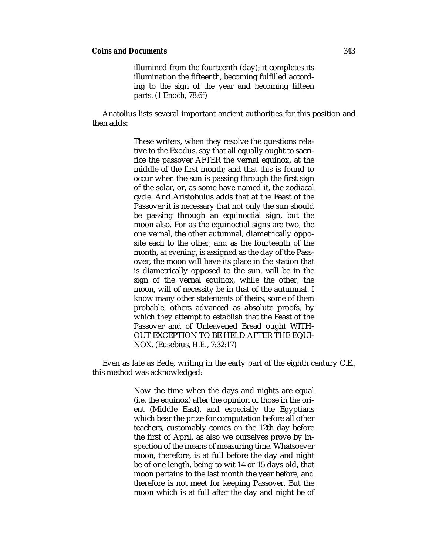illumined from the fourteenth (day); it completes its illumination the fifteenth, becoming fulfilled according to the sign of the year and becoming fifteen parts. (1 Enoch, 78:6f)

Anatolius lists several important ancient authorities for this position and then adds:

> These writers, when they resolve the questions relative to the Exodus, say that all equally ought to sacrifice the passover AFTER the vernal equinox, at the middle of the first month; and that this is found to occur when the sun is passing through the first sign of the solar, or, as some have named it, the zodiacal cycle. And Aristobulus adds that at the Feast of the Passover it is necessary that not only the sun should be passing through an equinoctial sign, but the moon also. For as the equinoctial signs are two, the one vernal, the other autumnal, diametrically opposite each to the other, and as the fourteenth of the month, at evening, is assigned as the day of the Passover, the moon will have its place in the station that is diametrically opposed to the sun, will be in the sign of the vernal equinox, while the other, the moon, will of necessity be in that of the autumnal. I know many other statements of theirs, some of them probable, others advanced as absolute proofs, by which they attempt to establish that the Feast of the Passover and of Unleavened Bread ought WITH-OUT EXCEPTION TO BE HELD AFTER THE EQUI-NOX. (Eusebius, *H.E.*, 7:32:17)

Even as late as Bede, writing in the early part of the eighth century C.E., this method was acknowledged:

> Now the time when the days and nights are equal (i.e. the equinox) after the opinion of those in the orient (Middle East), and especially the Egyptians which bear the prize for computation before all other teachers, customably comes on the 12th day before the first of April, as also we ourselves prove by inspection of the means of measuring time. Whatsoever moon, therefore, is at full before the day and night be of one length, being to wit 14 or 15 days old, that moon pertains to the last month the year before, and therefore is not meet for keeping Passover. But the moon which is at full after the day and night be of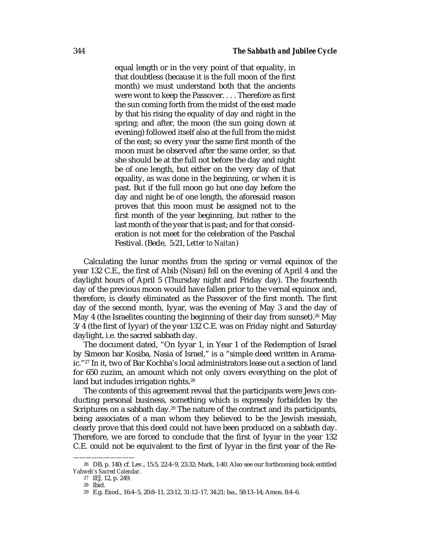equal length or in the very point of that equality, in that doubtless (because it is the full moon of the first month) we must understand both that the ancients were wont to keep the Passover. . . . Therefore as first the sun coming forth from the midst of the east made by that his rising the equality of day and night in the spring; and after, the moon (the sun going down at evening) followed itself also at the full from the midst of the east; so every year the same first month of the moon must be observed after the same order, so that she should be at the full not before the day and night be of one length, but either on the very day of that equality, as was done in the beginning, or when it is past. But if the full moon go but one day before the day and night be of one length, the aforesaid reason proves that this moon must be assigned not to the first month of the year beginning, but rather to the last month of the year that is past; and for that consideration is not meet for the celebration of the Paschal Festival. (Bede, 5:21, *Letter to Naitan*)

Calculating the lunar months from the spring or vernal equinox of the year 132 C.E., the first of Abib (Nisan) fell on the evening of April 4 and the daylight hours of April 5 (Thursday night and Friday day). The fourteenth day of the previous moon would have fallen prior to the vernal equinox and, therefore, is clearly eliminated as the Passover of the first month. The first day of the second month, Iyyar, was the evening of May 3 and the day of May 4 (the Israelites counting the beginning of their day from sunset).<sup>26</sup> May 3/4 (the first of Iyyar) of the year 132 C.E. was on Friday night and Saturday daylight, i.e. the sacred sabbath day.

The document dated, "On Iyyar 1, in Year 1 of the Redemption of Israel by Simeon bar Kosiba, Nasia of Israel," is a "simple deed written in Aramaic."27 In it, two of Bar Kochba's local administrators lease out a section of land for 650 zuzim, an amount which not only covers everything on the plot of land but includes irrigation rights.<sup>28</sup>

The contents of this agreement reveal that the participants were Jews conducting personal business, something which is expressly forbidden by the Scriptures on a sabbath day.<sup>29</sup> The nature of the contract and its participants, being associates of a man whom they believed to be the Jewish messiah, clearly prove that this deed could not have been produced on a sabbath day. Therefore, we are forced to conclude that the first of Iyyar in the year 132 C.E. could not be equivalent to the first of Iyyar in the first year of the Re-

<sup>——————————</sup> 26 DB, p. 140; cf. Lev., 15:5, 22:4–9, 23:32; Mark, 1:40. Also see our forthcoming book entitled *Yahweh's Sacred Calendar*.

<sup>27</sup> IEJ, 12, p. 249.

<sup>28</sup> Ibid.

<sup>29</sup> E.g. Exod., 16:4–5, 20:8–11, 23:12, 31:12–17, 34:21; Isa., 58:13–14; Amos, 8:4–6.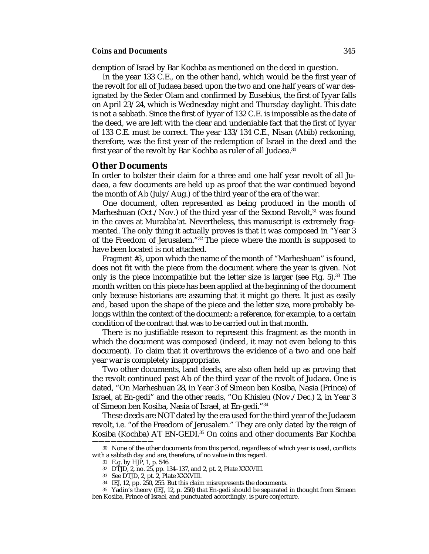demption of Israel by Bar Kochba as mentioned on the deed in question.

In the year 133 C.E., on the other hand, which would be the first year of the revolt for all of Judaea based upon the two and one half years of war designated by the Seder Olam and confirmed by Eusebius, the first of Iyyar falls on April 23/24, which is Wednesday night and Thursday daylight. This date is not a sabbath. Since the first of Iyyar of 132 C.E. is impossible as the date of the deed, we are left with the clear and undeniable fact that the first of Iyyar of 133 C.E. must be correct. The year 133/134 C.E., Nisan (Abib) reckoning, therefore, was the first year of the redemption of Israel in the deed and the first year of the revolt by Bar Kochba as ruler of all Judaea.<sup>30</sup>

#### **Other Documents**

In order to bolster their claim for a three and one half year revolt of all Judaea, a few documents are held up as proof that the war continued beyond the month of Ab (July/Aug.) of the third year of the era of the war.

One document, often represented as being produced in the month of Marheshuan (Oct./Nov.) of the third year of the Second Revolt,<sup>31</sup> was found in the caves at Murabba'at. Nevertheless, this manuscript is extremely fragmented. The only thing it actually proves is that it was composed in "Year 3 of the Freedom of Jerusalem."32 The piece where the month is supposed to have been located is not attached.

*Fragment #3*, upon which the name of the month of "Marheshuan" is found, does not fit with the piece from the document where the year is given. Not only is the piece incompatible but the letter size is larger (see Fig. 5).33 The month written on this piece has been applied at the beginning of the document only because historians are assuming that it might go there. It just as easily and, based upon the shape of the piece and the letter size, more probably belongs within the context of the document: a reference, for example, to a certain condition of the contract that was to be carried out in that month.

There is no justifiable reason to represent this fragment as the month in which the document was composed (indeed, it may not even belong to this document). To claim that it overthrows the evidence of a two and one half year war is completely inappropriate.

Two other documents, land deeds, are also often held up as proving that the revolt continued past Ab of the third year of the revolt of Judaea. One is dated, "On Marheshuan 28, in Year 3 of Simeon ben Kosiba, Nasia (Prince) of Israel, at En-gedi" and the other reads, "On Khisleu (Nov./Dec.) 2, in Year 3 of Simeon ben Kosiba, Nasia of Israel, at En-gedi."34

These deeds are NOT dated by the era used for the third year of the Judaean revolt, i.e. "of the Freedom of Jerusalem." They are only dated by the reign of Kosiba (Kochba) AT EN-GEDI.35 On coins and other documents Bar Kochba

<sup>30</sup> None of the other documents from this period, regardless of which year is used, conflicts with a sabbath day and are, therefore, of no value in this regard.

<sup>31</sup> E.g. by HJP, 1, p. 546.

<sup>32</sup> DTJD, 2, no. 25, pp. 134–137, and 2, pt. 2, Plate XXXVIII.

<sup>33</sup> See DTJD, 2, pt. 2, Plate XXXVIII.

<sup>34</sup> IEJ, 12, pp. 250, 255. But this claim misrepresents the documents.

<sup>35</sup> Yadin's theory (IEJ, 12, p. 250) that En-gedi should be separated in thought from Simeon ben Kosiba, Prince of Israel, and punctuated accordingly, is pure conjecture.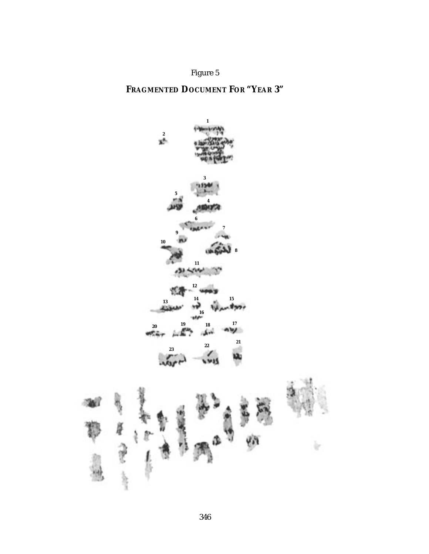## Figure 5

## **FRAGMENTED DOCUMENT FOR "YEAR 3"**

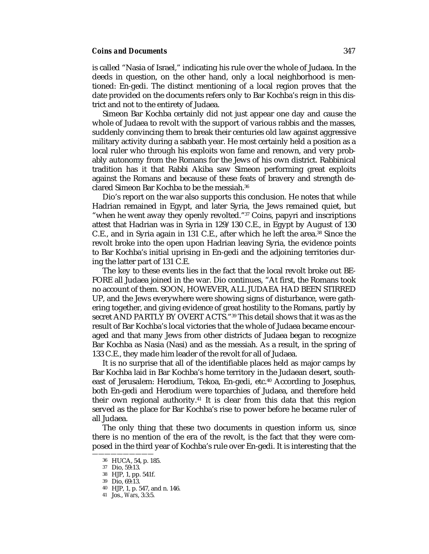is called "Nasia of Israel," indicating his rule over the whole of Judaea. In the deeds in question, on the other hand, only a local neighborhood is mentioned: En-gedi. The distinct mentioning of a local region proves that the date provided on the documents refers only to Bar Kochba's reign in this district and not to the entirety of Judaea.

Simeon Bar Kochba certainly did not just appear one day and cause the whole of Judaea to revolt with the support of various rabbis and the masses, suddenly convincing them to break their centuries old law against aggressive military activity during a sabbath year. He most certainly held a position as a local ruler who through his exploits won fame and renown, and very probably autonomy from the Romans for the Jews of his own district. Rabbinical tradition has it that Rabbi Akiba saw Simeon performing great exploits against the Romans and because of these feats of bravery and strength declared Simeon Bar Kochba to be the messiah.36

Dio's report on the war also supports this conclusion. He notes that while Hadrian remained in Egypt, and later Syria, the Jews remained quiet, but "when he went away they openly revolted."37 Coins, papyri and inscriptions attest that Hadrian was in Syria in 129/130 C.E., in Egypt by August of 130 C.E., and in Syria again in 131 C.E., after which he left the area.38 Since the revolt broke into the open upon Hadrian leaving Syria, the evidence points to Bar Kochba's initial uprising in En-gedi and the adjoining territories during the latter part of 131 C.E.

The key to these events lies in the fact that the local revolt broke out BE-FORE all Judaea joined in the war. Dio continues, "At first, the Romans took no account of them. SOON, HOWEVER, ALL JUDAEA HAD BEEN STIRRED UP, and the Jews everywhere were showing signs of disturbance, were gathering together, and giving evidence of great hostility to the Romans, partly by secret AND PARTLY BY OVERT ACTS."39 This detail shows that it was as the result of Bar Kochba's local victories that the whole of Judaea became encouraged and that many Jews from other districts of Judaea began to recognize Bar Kochba as Nasia (Nasi) and as the messiah. As a result, in the spring of 133 C.E., they made him leader of the revolt for all of Judaea.

It is no surprise that all of the identifiable places held as major camps by Bar Kochba laid in Bar Kochba's home territory in the Judaean desert, southeast of Jerusalem: Herodium, Tekoa, En-gedi, etc.40 According to Josephus, both En-gedi and Herodium were toparchies of Judaea, and therefore held their own regional authority.<sup>41</sup> It is clear from this data that this region served as the place for Bar Kochba's rise to power before he became ruler of all Judaea.

The only thing that these two documents in question inform us, since there is no mention of the era of the revolt, is the fact that they were composed in the third year of Kochba's rule over En-gedi. It is interesting that the

<sup>36</sup> HUCA, 54, p. 185.

<sup>37</sup> Dio, 59:13.

<sup>38</sup> HJP, 1, pp. 541f.

<sup>39</sup> Dio, 69:13.

<sup>40</sup> HJP, 1, p. 547, and n. 146.

<sup>41</sup> Jos., *Wars*, 3:3:5.